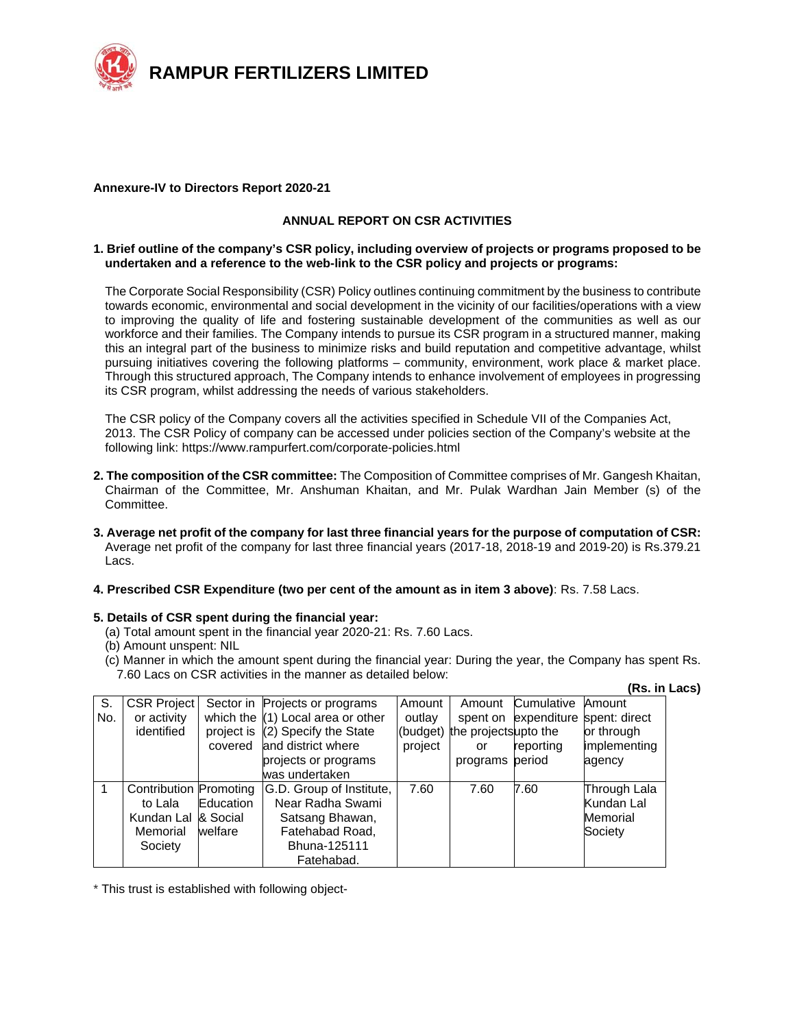

#### **Annexure-IV to Directors Report 2020-21**

## **ANNUAL REPORT ON CSR ACTIVITIES**

#### **1. Brief outline of the company's CSR policy, including overview of projects or programs proposed to be undertaken and a reference to the web-link to the CSR policy and projects or programs:**

The Corporate Social Responsibility (CSR) Policy outlines continuing commitment by the business to contribute towards economic, environmental and social development in the vicinity of our facilities/operations with a view to improving the quality of life and fostering sustainable development of the communities as well as our workforce and their families. The Company intends to pursue its CSR program in a structured manner, making this an integral part of the business to minimize risks and build reputation and competitive advantage, whilst pursuing initiatives covering the following platforms – community, environment, work place & market place. Through this structured approach, The Company intends to enhance involvement of employees in progressing its CSR program, whilst addressing the needs of various stakeholders.

The CSR policy of the Company covers all the activities specified in Schedule VII of the Companies Act, 2013. The CSR Policy of company can be accessed under policies section of the Company's website at the following link: https://www.rampurfert.com/corporate-policies.html

- **2. The composition of the CSR committee:** The Composition of Committee comprises of Mr. Gangesh Khaitan, Chairman of the Committee, Mr. Anshuman Khaitan, and Mr. Pulak Wardhan Jain Member (s) of the Committee.
- **3. Average net profit of the company for last three financial years for the purpose of computation of CSR:**  Average net profit of the company for last three financial years (2017-18, 2018-19 and 2019-20) is Rs.379.21 Lacs.

## **4. Prescribed CSR Expenditure (two per cent of the amount as in item 3 above)**: Rs. 7.58 Lacs.

## **5. Details of CSR spent during the financial year:**

- (a) Total amount spent in the financial year 2020-21: Rs. 7.60 Lacs.
- (b) Amount unspent: NIL
- (c) Manner in which the amount spent during the financial year: During the year, the Company has spent Rs. 7.60 Lacs on CSR activities in the manner as detailed below:

|     |                        |            |                                     |         |                               |                      | (Rs. in Lacs) |  |
|-----|------------------------|------------|-------------------------------------|---------|-------------------------------|----------------------|---------------|--|
| S.  | <b>CSR Project</b>     |            | Sector in Projects or programs      | Amount  | Amount                        | Cumulative           | Amount        |  |
| No. | or activity            |            | which the $(1)$ Local area or other | outlay  |                               | spent on expenditure | spent: direct |  |
|     | identified             | project is | (2) Specify the State               |         | (budget) the projectsupto the |                      | or through    |  |
|     |                        | covered    | and district where                  | project | or                            | reporting            | implementing  |  |
|     |                        |            | projects or programs                |         | programs period               |                      | agency        |  |
|     |                        |            | was undertaken                      |         |                               |                      |               |  |
|     | Contribution Promoting |            | G.D. Group of Institute,            | 7.60    | 7.60                          | 7.60                 | Through Lala  |  |
|     | to Lala                | Education  | Near Radha Swami                    |         |                               |                      | Kundan Lal    |  |
|     | Kundan Lal             | & Social   | Satsang Bhawan,                     |         |                               |                      | Memorial      |  |
|     | Memorial               | welfare    | Fatehabad Road,                     |         |                               |                      | Society       |  |
|     | Society                |            | Bhuna-125111                        |         |                               |                      |               |  |
|     |                        |            | Fatehabad.                          |         |                               |                      |               |  |

\* This trust is established with following object-